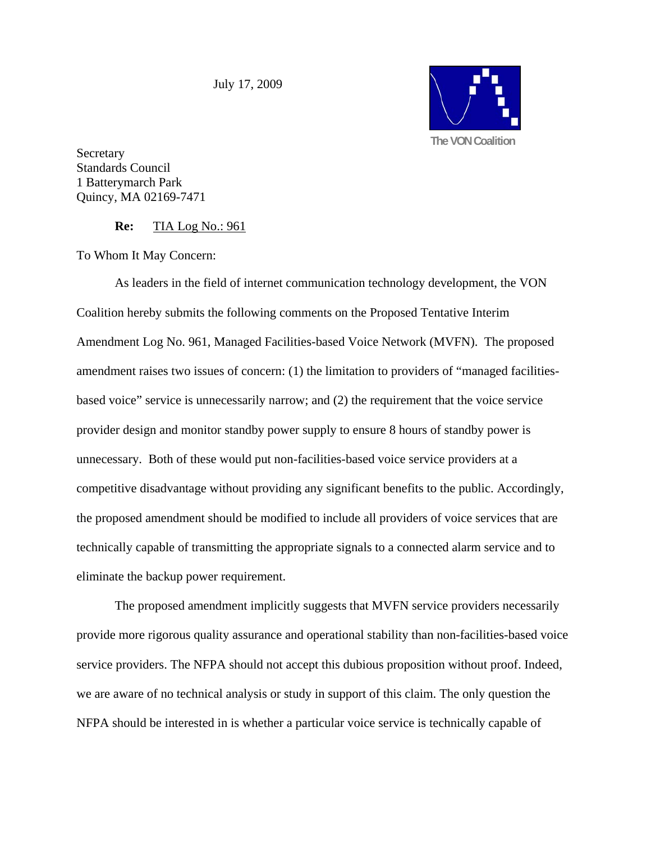July 17, 2009



Secretary Standards Council 1 Batterymarch Park Quincy, MA 02169-7471

**Re:** TIA Log No.: 961

To Whom It May Concern:

 As leaders in the field of internet communication technology development, the VON Coalition hereby submits the following comments on the Proposed Tentative Interim Amendment Log No. 961, Managed Facilities-based Voice Network (MVFN). The proposed amendment raises two issues of concern: (1) the limitation to providers of "managed facilitiesbased voice" service is unnecessarily narrow; and (2) the requirement that the voice service provider design and monitor standby power supply to ensure 8 hours of standby power is unnecessary. Both of these would put non-facilities-based voice service providers at a competitive disadvantage without providing any significant benefits to the public. Accordingly, the proposed amendment should be modified to include all providers of voice services that are technically capable of transmitting the appropriate signals to a connected alarm service and to eliminate the backup power requirement.

 The proposed amendment implicitly suggests that MVFN service providers necessarily provide more rigorous quality assurance and operational stability than non-facilities-based voice service providers. The NFPA should not accept this dubious proposition without proof. Indeed, we are aware of no technical analysis or study in support of this claim. The only question the NFPA should be interested in is whether a particular voice service is technically capable of